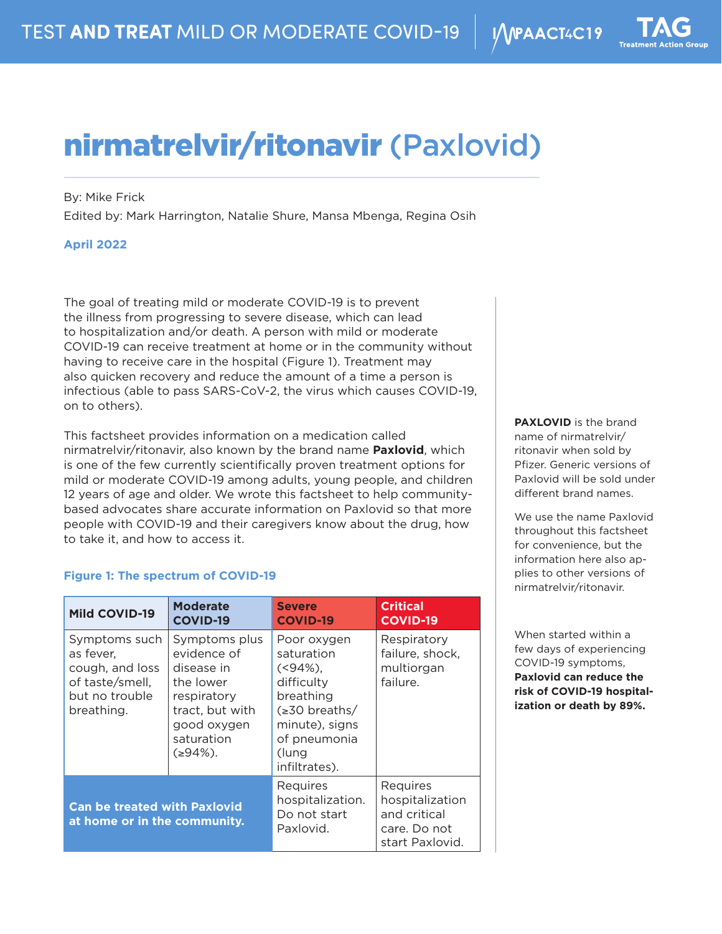# nirmatrelvir/ritonavir (Paxlovid)

By: Mike Frick

Edited by: Mark Harrington, Natalie Shure, Mansa Mbenga, Regina Osih

## **April 2022**

The goal of treating mild or moderate COVID-19 is to prevent the illness from progressing to severe disease, which can lead to hospitalization and/or death. A person with mild or moderate COVID-19 can receive treatment at home or in the community without having to receive care in the hospital (Figure 1). Treatment may also quicken recovery and reduce the amount of a time a person is infectious (able to pass SARS-CoV-2, the virus which causes COVID-19, on to others).

This factsheet provides information on a medication called nirmatrelvir/ritonavir, also known by the brand name **Paxlovid**, which is one of the few currently scientifically proven treatment options for mild or moderate COVID-19 among adults, young people, and children 12 years of age and older. We wrote this factsheet to help communitybased advocates share accurate information on Paxlovid so that more people with COVID-19 and their caregivers know about the drug, how to take it, and how to access it.

## **Figure 1: The spectrum of COVID-19**

| <b>Mild COVID-19</b>                                                                             | <b>Moderate</b><br><b>COVID-19</b>                                                                                                   | <b>Severe</b><br><b>COVID-19</b>                                                                                                                        | <b>Critical</b><br><b>COVID-19</b>                                             |
|--------------------------------------------------------------------------------------------------|--------------------------------------------------------------------------------------------------------------------------------------|---------------------------------------------------------------------------------------------------------------------------------------------------------|--------------------------------------------------------------------------------|
| Symptoms such<br>as fever.<br>cough, and loss<br>of taste/smell,<br>but no trouble<br>breathing. | Symptoms plus<br>evidence of<br>disease in<br>the lower<br>respiratory<br>tract, but with<br>good oxygen<br>saturation<br>$(294\%).$ | Poor oxygen<br>saturation<br>$( < 94\%)$ .<br>difficulty<br>breathing<br>$\leq 30$ breaths/<br>minute), signs<br>of pneumonia<br>(lung<br>infiltrates). | Respiratory<br>failure, shock,<br>multiorgan<br>failure.                       |
| <b>Can be treated with Paxlovid</b><br>at home or in the community.                              |                                                                                                                                      | Requires<br>hospitalization.<br>Do not start<br>Paxlovid.                                                                                               | Requires<br>hospitalization<br>and critical<br>care. Do not<br>start Paxlovid. |

**PAXLOVID** is the brand name of nirmatrelvir/ ritonavir when sold by Pfizer. Generic versions of Paxlovid will be sold under different brand names.

We use the name Paxlovid throughout this factsheet for convenience, but the information here also applies to other versions of nirmatrelvir/ritonavir.

When started within a few days of experiencing COVID-19 symptoms, **Paxlovid can reduce the risk of COVID-19 hospitalization or death by 89%.**

I/VPAACT4C19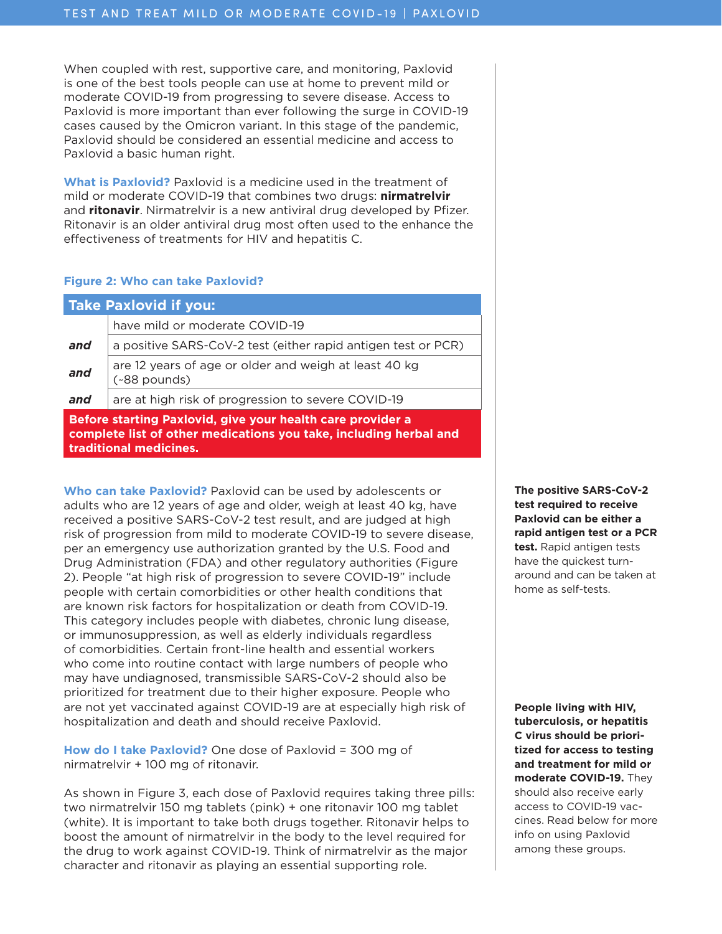When coupled with rest, supportive care, and monitoring, Paxlovid is one of the best tools people can use at home to prevent mild or moderate COVID-19 from progressing to severe disease. Access to Paxlovid is more important than ever following the surge in COVID-19 cases caused by the Omicron variant. In this stage of the pandemic, Paxlovid should be considered an essential medicine and access to Paxlovid a basic human right.

**What is Paxlovid?** Paxlovid is a medicine used in the treatment of mild or moderate COVID-19 that combines two drugs: **nirmatrelvir** and **ritonavir**. Nirmatrelvir is a new antiviral drug developed by Pfizer. Ritonavir is an older antiviral drug most often used to the enhance the effectiveness of treatments for HIV and hepatitis C.

#### **Figure 2: Who can take Paxlovid?**

| <b>Take Paxlovid if you:</b>                                                                                                                              |                                                                       |  |  |  |
|-----------------------------------------------------------------------------------------------------------------------------------------------------------|-----------------------------------------------------------------------|--|--|--|
|                                                                                                                                                           | have mild or moderate COVID-19                                        |  |  |  |
| and                                                                                                                                                       | a positive SARS-CoV-2 test (either rapid antigen test or PCR)         |  |  |  |
| and                                                                                                                                                       | are 12 years of age or older and weigh at least 40 kg<br>(~88 pounds) |  |  |  |
| and                                                                                                                                                       | are at high risk of progression to severe COVID-19                    |  |  |  |
| Before starting Paxlovid, give your health care provider a<br>complete list of other medications you take, including herbal and<br>traditional medicines. |                                                                       |  |  |  |

**Who can take Paxlovid?** Paxlovid can be used by adolescents or adults who are 12 years of age and older, weigh at least 40 kg, have received a positive SARS-CoV-2 test result, and are judged at high risk of progression from mild to moderate COVID-19 to severe disease, per an emergency use authorization granted by the U.S. Food and Drug Administration (FDA) and other regulatory authorities (Figure 2). People "at high risk of progression to severe COVID-19" include people with certain comorbidities or other health conditions that are known risk factors for hospitalization or death from COVID-19. This category includes people with diabetes, chronic lung disease, or immunosuppression, as well as elderly individuals regardless of comorbidities. Certain front-line health and essential workers who come into routine contact with large numbers of people who may have undiagnosed, transmissible SARS-CoV-2 should also be prioritized for treatment due to their higher exposure. People who are not yet vaccinated against COVID-19 are at especially high risk of hospitalization and death and should receive Paxlovid.

**How do I take Paxlovid?** One dose of Paxlovid = 300 mg of nirmatrelvir + 100 mg of ritonavir.

As shown in Figure 3, each dose of Paxlovid requires taking three pills: two nirmatrelvir 150 mg tablets (pink) + one ritonavir 100 mg tablet (white). It is important to take both drugs together. Ritonavir helps to boost the amount of nirmatrelvir in the body to the level required for the drug to work against COVID-19. Think of nirmatrelvir as the major character and ritonavir as playing an essential supporting role.

**The positive SARS-CoV-2 test required to receive Paxlovid can be either a rapid antigen test or a PCR test.** Rapid antigen tests have the quickest turnaround and can be taken at home as self-tests.

**People living with HIV, tuberculosis, or hepatitis C virus should be prioritized for access to testing and treatment for mild or moderate COVID-19.** They should also receive early access to COVID-19 vaccines. Read below for more info on using Paxlovid among these groups.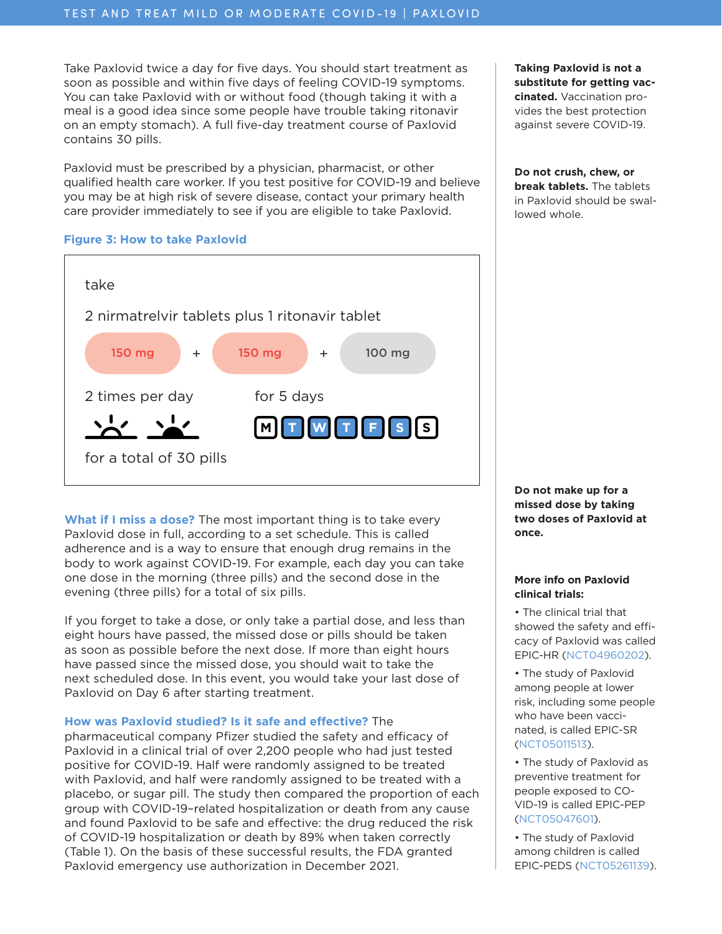Take Paxlovid twice a day for five days. You should start treatment as soon as possible and within five days of feeling COVID-19 symptoms. You can take Paxlovid with or without food (though taking it with a meal is a good idea since some people have trouble taking ritonavir on an empty stomach). A full five-day treatment course of Paxlovid contains 30 pills.

Paxlovid must be prescribed by a physician, pharmacist, or other qualified health care worker. If you test positive for COVID-19 and believe you may be at high risk of severe disease, contact your primary health care provider immediately to see if you are eligible to take Paxlovid.

#### **Figure 3: How to take Paxlovid**



**What if I miss a dose?** The most important thing is to take every Paxlovid dose in full, according to a set schedule. This is called adherence and is a way to ensure that enough drug remains in the body to work against COVID-19. For example, each day you can take one dose in the morning (three pills) and the second dose in the evening (three pills) for a total of six pills.

If you forget to take a dose, or only take a partial dose, and less than eight hours have passed, the missed dose or pills should be taken as soon as possible before the next dose. If more than eight hours have passed since the missed dose, you should wait to take the next scheduled dose. In this event, you would take your last dose of Paxlovid on Day 6 after starting treatment.

## **How was Paxlovid studied? Is it safe and effective?** The

pharmaceutical company Pfizer studied the safety and efficacy of Paxlovid in a clinical trial of over 2,200 people who had just tested positive for COVID-19. Half were randomly assigned to be treated with Paxlovid, and half were randomly assigned to be treated with a placebo, or sugar pill. The study then compared the proportion of each group with COVID-19–related hospitalization or death from any cause and found Paxlovid to be safe and effective: the drug reduced the risk of COVID-19 hospitalization or death by 89% when taken correctly (Table 1). On the basis of these successful results, the FDA granted Paxlovid emergency use authorization in December 2021.

**Taking Paxlovid is not a substitute for getting vaccinated.** Vaccination provides the best protection against severe COVID-19.

**Do not crush, chew, or break tablets.** The tablets in Paxlovid should be swallowed whole.

**Do not make up for a missed dose by taking two doses of Paxlovid at once.**

#### **More info on Paxlovid clinical trials:**

• The clinical trial that showed the safety and efficacy of Paxlovid was called EPIC-HR ([NCT04960202\)](https://clinicaltrials.gov/ct2/show/NCT04960202).

- The study of Paxlovid among people at lower risk, including some people who have been vaccinated, is called EPIC-SR [\(NCT05011513\)](https://clinicaltrials.gov/ct2/show/NCT05011513).
- The study of Paxlovid as preventive treatment for people exposed to CO-VID-19 is called EPIC-PEP [\(NCT05047601\)](https://clinicaltrials.gov/ct2/show/NCT05047601).

• The study of Paxlovid among children is called EPIC-PEDS ([NCT05261139\)](https://clinicaltrials.gov/ct2/show/NCT05261139).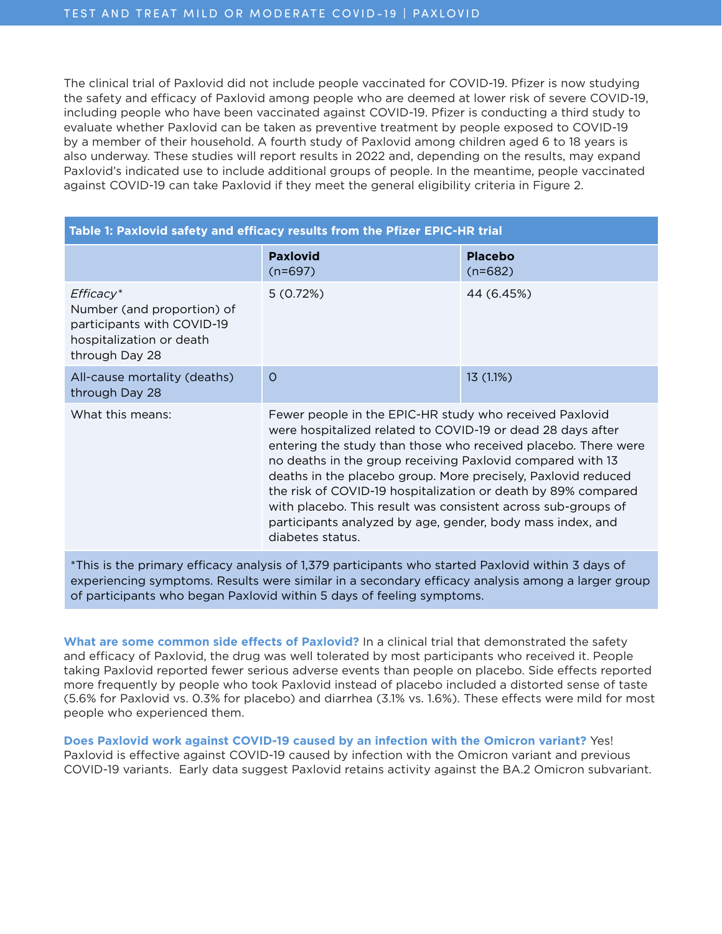The clinical trial of Paxlovid did not include people vaccinated for COVID-19. Pfizer is now studying the safety and efficacy of Paxlovid among people who are deemed at lower risk of severe COVID-19, including people who have been vaccinated against COVID-19. Pfizer is conducting a third study to evaluate whether Paxlovid can be taken as preventive treatment by people exposed to COVID-19 by a member of their household. A fourth study of Paxlovid among children aged 6 to 18 years is also underway. These studies will report results in 2022 and, depending on the results, may expand Paxlovid's indicated use to include additional groups of people. In the meantime, people vaccinated against COVID-19 can take Paxlovid if they meet the general eligibility criteria in Figure 2.

| Table 1: Paxlovid safety and efficacy results from the Pfizer EPIC-HR trial                                           |                                                                                                                                                                                                                                                                                                                                                                                                                                                                                                                                             |                             |  |  |  |
|-----------------------------------------------------------------------------------------------------------------------|---------------------------------------------------------------------------------------------------------------------------------------------------------------------------------------------------------------------------------------------------------------------------------------------------------------------------------------------------------------------------------------------------------------------------------------------------------------------------------------------------------------------------------------------|-----------------------------|--|--|--|
|                                                                                                                       | <b>Paxlovid</b><br>$(n=697)$                                                                                                                                                                                                                                                                                                                                                                                                                                                                                                                | <b>Placebo</b><br>$(n=682)$ |  |  |  |
| $Efficacy*$<br>Number (and proportion) of<br>participants with COVID-19<br>hospitalization or death<br>through Day 28 | 5(0.72%)                                                                                                                                                                                                                                                                                                                                                                                                                                                                                                                                    | 44 (6.45%)                  |  |  |  |
| All-cause mortality (deaths)<br>through Day 28                                                                        | $\Omega$                                                                                                                                                                                                                                                                                                                                                                                                                                                                                                                                    | 13 (1.1%)                   |  |  |  |
| What this means:                                                                                                      | Fewer people in the EPIC-HR study who received Paxlovid<br>were hospitalized related to COVID-19 or dead 28 days after<br>entering the study than those who received placebo. There were<br>no deaths in the group receiving Paxlovid compared with 13<br>deaths in the placebo group. More precisely, Paxlovid reduced<br>the risk of COVID-19 hospitalization or death by 89% compared<br>with placebo. This result was consistent across sub-groups of<br>participants analyzed by age, gender, body mass index, and<br>diabetes status. |                             |  |  |  |

\*This is the primary efficacy analysis of 1,379 participants who started Paxlovid within 3 days of experiencing symptoms. Results were similar in a secondary efficacy analysis among a larger group of participants who began Paxlovid within 5 days of feeling symptoms.

**What are some common side effects of Paxlovid?** In a clinical trial that demonstrated the safety and efficacy of Paxlovid, the drug was well tolerated by most participants who received it. People taking Paxlovid reported fewer serious adverse events than people on placebo. Side effects reported more frequently by people who took Paxlovid instead of placebo included a distorted sense of taste (5.6% for Paxlovid vs. 0.3% for placebo) and diarrhea (3.1% vs. 1.6%). These effects were mild for most people who experienced them.

**Does Paxlovid work against COVID-19 caused by an infection with the Omicron variant?** Yes! Paxlovid is effective against COVID-19 caused by infection with the Omicron variant and previous COVID-19 variants. Early data suggest Paxlovid retains activity against the BA.2 Omicron subvariant.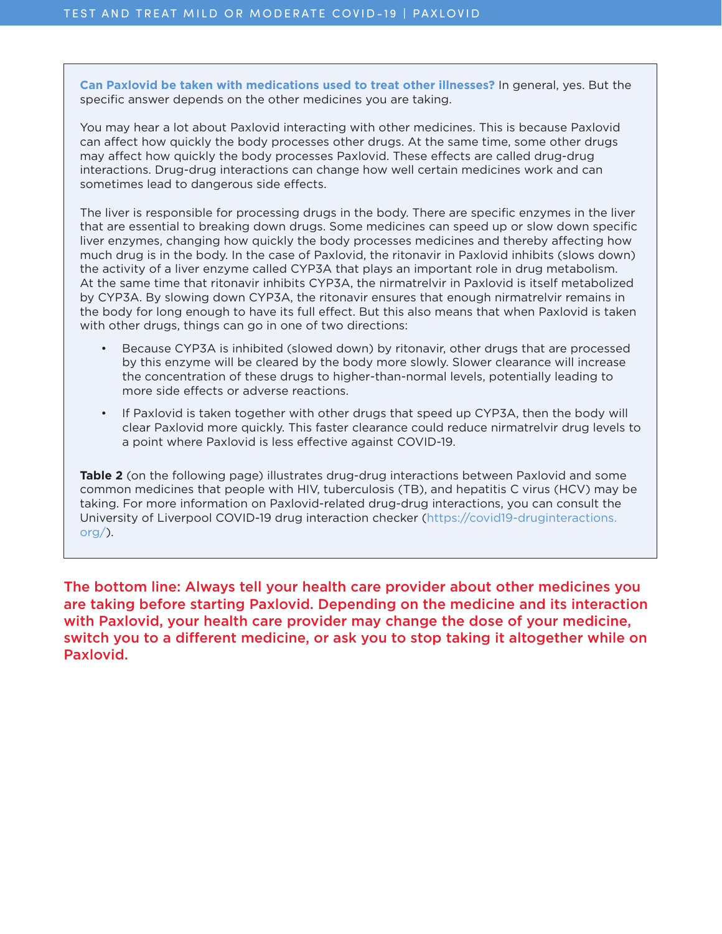**Can Paxlovid be taken with medications used to treat other illnesses?** In general, yes. But the specific answer depends on the other medicines you are taking.

You may hear a lot about Paxlovid interacting with other medicines. This is because Paxlovid can affect how quickly the body processes other drugs. At the same time, some other drugs may affect how quickly the body processes Paxlovid. These effects are called drug-drug interactions. Drug-drug interactions can change how well certain medicines work and can sometimes lead to dangerous side effects.

The liver is responsible for processing drugs in the body. There are specific enzymes in the liver that are essential to breaking down drugs. Some medicines can speed up or slow down specific liver enzymes, changing how quickly the body processes medicines and thereby affecting how much drug is in the body. In the case of Paxlovid, the ritonavir in Paxlovid inhibits (slows down) the activity of a liver enzyme called CYP3A that plays an important role in drug metabolism. At the same time that ritonavir inhibits CYP3A, the nirmatrelvir in Paxlovid is itself metabolized by CYP3A. By slowing down CYP3A, the ritonavir ensures that enough nirmatrelvir remains in the body for long enough to have its full effect. But this also means that when Paxlovid is taken with other drugs, things can go in one of two directions:

- Because CYP3A is inhibited (slowed down) by ritonavir, other drugs that are processed by this enzyme will be cleared by the body more slowly. Slower clearance will increase the concentration of these drugs to higher-than-normal levels, potentially leading to more side effects or adverse reactions.
- If Paxlovid is taken together with other drugs that speed up CYP3A, then the body will clear Paxlovid more quickly. This faster clearance could reduce nirmatrelvir drug levels to a point where Paxlovid is less effective against COVID-19.

**Table 2** (on the following page) illustrates drug-drug interactions between Paxlovid and some common medicines that people with HIV, tuberculosis (TB), and hepatitis C virus (HCV) may be taking. For more information on Paxlovid-related drug-drug interactions, you can consult the University of Liverpool COVID-19 drug interaction checker [\(https://covid19-druginteractions.](https://covid19-druginteractions.org/)  $org/$ ).

The bottom line: Always tell your health care provider about other medicines you are taking before starting Paxlovid. Depending on the medicine and its interaction with Paxlovid, your health care provider may change the dose of your medicine, switch you to a different medicine, or ask you to stop taking it altogether while on Paxlovid.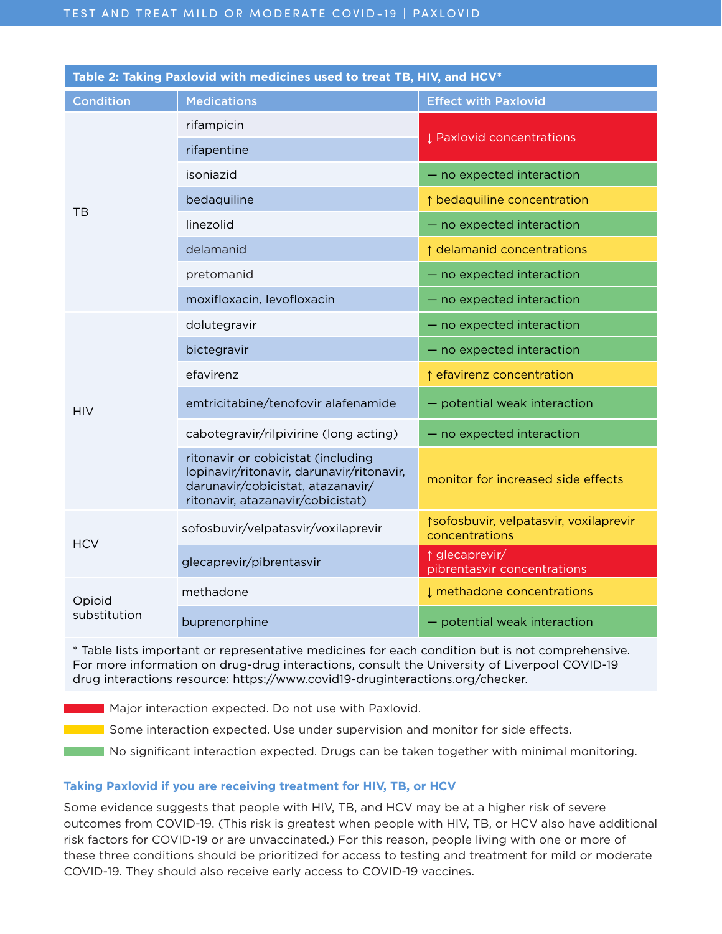| Table 2: Taking Paxlovid with medicines used to treat TB, HIV, and HCV* |                                                                                                                                                           |                                                          |  |  |  |
|-------------------------------------------------------------------------|-----------------------------------------------------------------------------------------------------------------------------------------------------------|----------------------------------------------------------|--|--|--|
| <b>Condition</b>                                                        | <b>Medications</b>                                                                                                                                        | <b>Effect with Paxlovid</b>                              |  |  |  |
| TB                                                                      | rifampicin                                                                                                                                                | Paxlovid concentrations                                  |  |  |  |
|                                                                         | rifapentine                                                                                                                                               |                                                          |  |  |  |
|                                                                         | isoniazid                                                                                                                                                 | - no expected interaction                                |  |  |  |
|                                                                         | bedaquiline                                                                                                                                               | ↑ bedaquiline concentration                              |  |  |  |
|                                                                         | linezolid                                                                                                                                                 | - no expected interaction                                |  |  |  |
|                                                                         | delamanid                                                                                                                                                 | ↑ delamanid concentrations                               |  |  |  |
|                                                                         | pretomanid                                                                                                                                                | - no expected interaction                                |  |  |  |
|                                                                         | moxifloxacin, levofloxacin                                                                                                                                | - no expected interaction                                |  |  |  |
| <b>HIV</b>                                                              | dolutegravir                                                                                                                                              | - no expected interaction                                |  |  |  |
|                                                                         | bictegravir                                                                                                                                               | - no expected interaction                                |  |  |  |
|                                                                         | efavirenz                                                                                                                                                 | ↑ efavirenz concentration                                |  |  |  |
|                                                                         | emtricitabine/tenofovir alafenamide                                                                                                                       | - potential weak interaction                             |  |  |  |
|                                                                         | cabotegravir/rilpivirine (long acting)                                                                                                                    | - no expected interaction                                |  |  |  |
|                                                                         | ritonavir or cobicistat (including<br>lopinavir/ritonavir, darunavir/ritonavir,<br>darunavir/cobicistat, atazanavir/<br>ritonavir, atazanavir/cobicistat) | monitor for increased side effects                       |  |  |  |
| <b>HCV</b>                                                              | sofosbuvir/velpatasvir/voxilaprevir                                                                                                                       | ↑sofosbuvir, velpatasvir, voxilaprevir<br>concentrations |  |  |  |
|                                                                         | glecaprevir/pibrentasvir                                                                                                                                  | ↑ glecaprevir/<br>pibrentasvir concentrations            |  |  |  |
| Opioid<br>substitution                                                  | methadone                                                                                                                                                 | I methadone concentrations                               |  |  |  |
|                                                                         | buprenorphine                                                                                                                                             | - potential weak interaction                             |  |  |  |

\* Table lists important or representative medicines for each condition but is not comprehensive. For more information on drug-drug interactions, consult the University of Liverpool COVID-19 drug interactions resource: https://www.covid19-druginteractions.org/checker.

**Major interaction expected. Do not use with Paxlovid.** 

**Some interaction expected. Use under supervision and monitor for side effects.** 

No significant interaction expected. Drugs can be taken together with minimal monitoring.

# **Taking Paxlovid if you are receiving treatment for HIV, TB, or HCV**

Some evidence suggests that people with HIV, TB, and HCV may be at a higher risk of severe outcomes from COVID-19. (This risk is greatest when people with HIV, TB, or HCV also have additional risk factors for COVID-19 or are unvaccinated.) For this reason, people living with one or more of these three conditions should be prioritized for access to testing and treatment for mild or moderate COVID-19. They should also receive early access to COVID-19 vaccines.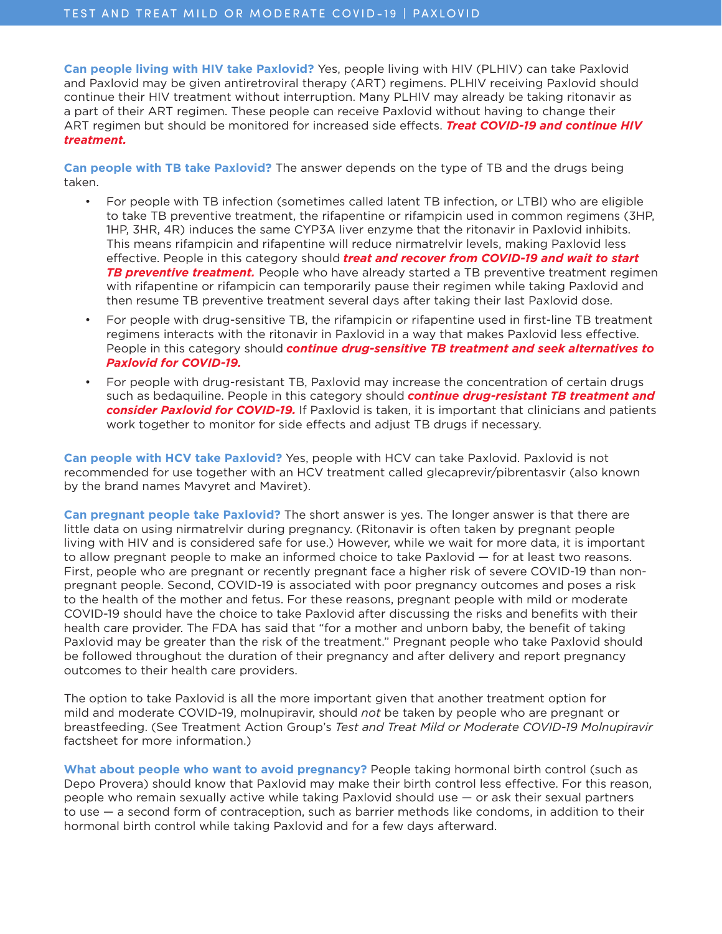**Can people living with HIV take Paxlovid?** Yes, people living with HIV (PLHIV) can take Paxlovid and Paxlovid may be given antiretroviral therapy (ART) regimens. PLHIV receiving Paxlovid should continue their HIV treatment without interruption. Many PLHIV may already be taking ritonavir as a part of their ART regimen. These people can receive Paxlovid without having to change their ART regimen but should be monitored for increased side effects. *Treat COVID-19 and continue HIV treatment.* 

**Can people with TB take Paxlovid?** The answer depends on the type of TB and the drugs being taken.

- For people with TB infection (sometimes called latent TB infection, or LTBI) who are eligible to take TB preventive treatment, the rifapentine or rifampicin used in common regimens (3HP, 1HP, 3HR, 4R) induces the same CYP3A liver enzyme that the ritonavir in Paxlovid inhibits. This means rifampicin and rifapentine will reduce nirmatrelvir levels, making Paxlovid less effective. People in this category should *treat and recover from COVID-19 and wait to start TB preventive treatment.* People who have already started a TB preventive treatment regimen with rifapentine or rifampicin can temporarily pause their regimen while taking Paxlovid and then resume TB preventive treatment several days after taking their last Paxlovid dose.
- For people with drug-sensitive TB, the rifampicin or rifapentine used in first-line TB treatment regimens interacts with the ritonavir in Paxlovid in a way that makes Paxlovid less effective. People in this category should *continue drug-sensitive TB treatment and seek alternatives to Paxlovid for COVID-19.*
- For people with drug-resistant TB, Paxlovid may increase the concentration of certain drugs such as bedaquiline. People in this category should *continue drug-resistant TB treatment and consider Paxlovid for COVID-19.* If Paxlovid is taken, it is important that clinicians and patients work together to monitor for side effects and adjust TB drugs if necessary.

**Can people with HCV take Paxlovid?** Yes, people with HCV can take Paxlovid. Paxlovid is not recommended for use together with an HCV treatment called glecaprevir/pibrentasvir (also known by the brand names Mavyret and Maviret).

**Can pregnant people take Paxlovid?** The short answer is yes. The longer answer is that there are little data on using nirmatrelvir during pregnancy. (Ritonavir is often taken by pregnant people living with HIV and is considered safe for use.) However, while we wait for more data, it is important to allow pregnant people to make an informed choice to take Paxlovid — for at least two reasons. First, people who are pregnant or recently pregnant face a higher risk of severe COVID-19 than nonpregnant people. Second, COVID-19 is associated with poor pregnancy outcomes and poses a risk to the health of the mother and fetus. For these reasons, pregnant people with mild or moderate COVID-19 should have the choice to take Paxlovid after discussing the risks and benefits with their health care provider. The FDA has said that "for a mother and unborn baby, the benefit of taking Paxlovid may be greater than the risk of the treatment." Pregnant people who take Paxlovid should be followed throughout the duration of their pregnancy and after delivery and report pregnancy outcomes to their health care providers.

The option to take Paxlovid is all the more important given that another treatment option for mild and moderate COVID-19, molnupiravir, should *not* be taken by people who are pregnant or breastfeeding. (See Treatment Action Group's *Test and Treat Mild or Moderate COVID-19 Molnupiravir* factsheet for more information.)

**What about people who want to avoid pregnancy?** People taking hormonal birth control (such as Depo Provera) should know that Paxlovid may make their birth control less effective. For this reason, people who remain sexually active while taking Paxlovid should use — or ask their sexual partners to use — a second form of contraception, such as barrier methods like condoms, in addition to their hormonal birth control while taking Paxlovid and for a few days afterward.